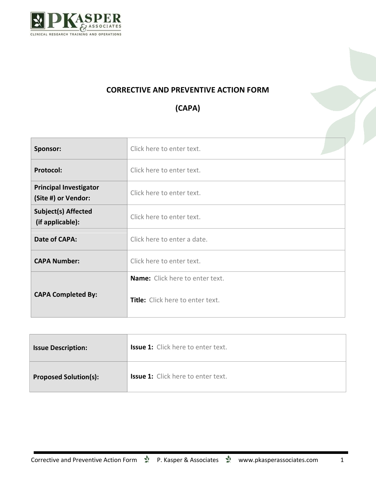

## **CORRECTIVE AND PREVENTIVE ACTION FORM**

## **(CAPA)**

| Sponsor:                                             | Click here to enter text.        |  |
|------------------------------------------------------|----------------------------------|--|
| <b>Protocol:</b>                                     | Click here to enter text.        |  |
| <b>Principal Investigator</b><br>(Site #) or Vendor: | Click here to enter text.        |  |
| <b>Subject(s) Affected</b><br>(if applicable):       | Click here to enter text.        |  |
| Date of CAPA:                                        | Click here to enter a date.      |  |
| <b>CAPA Number:</b>                                  | Click here to enter text.        |  |
|                                                      | Name: Click here to enter text.  |  |
| <b>CAPA Completed By:</b>                            | Title: Click here to enter text. |  |

| <b>Issue Description:</b>    | <b>Issue 1:</b> Click here to enter text. |
|------------------------------|-------------------------------------------|
| <b>Proposed Solution(s):</b> | <b>Issue 1:</b> Click here to enter text. |